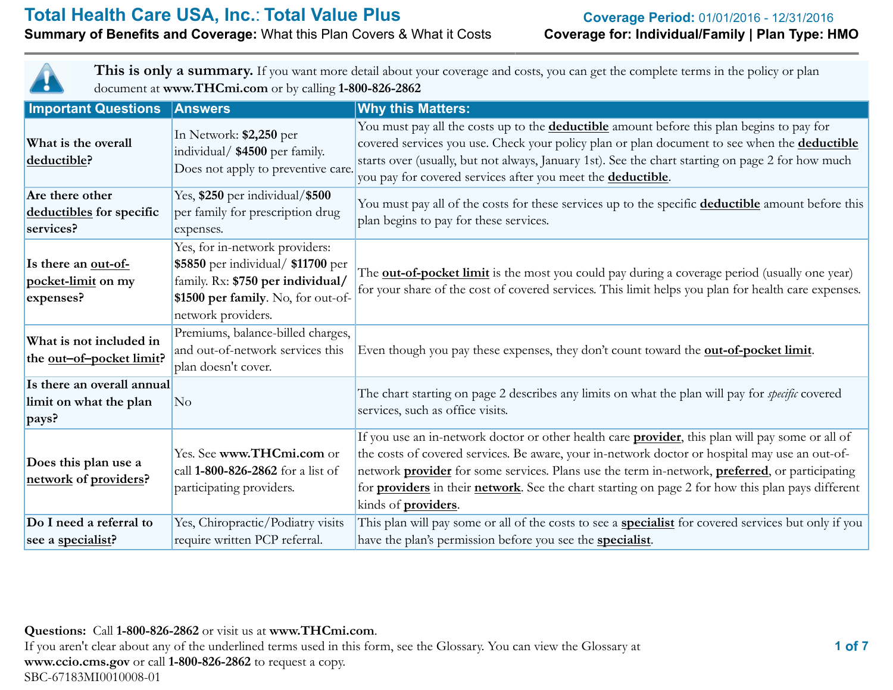# **Summary of Benefits and Coverage: What this Plan Covers & What it Costs**

This is only a summary. If you want more detail about your coverage and costs, you can get the complete terms in the policy or plan document at **www.THCmi.com** or by calling **1-800-826-2862**

| <b>Important Questions</b>                                    | <b>Answers</b>                                                                                                                                                        | <b>Why this Matters:</b>                                                                                                                                                                                                                                                                                                                                                                                                                                                       |  |  |
|---------------------------------------------------------------|-----------------------------------------------------------------------------------------------------------------------------------------------------------------------|--------------------------------------------------------------------------------------------------------------------------------------------------------------------------------------------------------------------------------------------------------------------------------------------------------------------------------------------------------------------------------------------------------------------------------------------------------------------------------|--|--|
| What is the overall<br>deductible?                            | In Network: \$2,250 per<br>individual/ \$4500 per family.<br>Does not apply to preventive care.                                                                       | You must pay all the costs up to the <b>deductible</b> amount before this plan begins to pay for<br>covered services you use. Check your policy plan or plan document to see when the <b>deductible</b><br>starts over (usually, but not always, January 1st). See the chart starting on page 2 for how much<br>you pay for covered services after you meet the <b>deductible</b> .                                                                                            |  |  |
| Are there other<br>deductibles for specific<br>services?      | Yes, \$250 per individual/\$500<br>per family for prescription drug<br>expenses.                                                                                      | You must pay all of the costs for these services up to the specific <b>deductible</b> amount before this<br>plan begins to pay for these services.                                                                                                                                                                                                                                                                                                                             |  |  |
| Is there an out-of-<br>pocket-limit on my<br>expenses?        | Yes, for in-network providers:<br>\$5850 per individual/ \$11700 per<br>family. Rx: \$750 per individual/<br>\$1500 per family. No, for out-of-<br>network providers. | The <b>out-of-pocket limit</b> is the most you could pay during a coverage period (usually one year)<br>for your share of the cost of covered services. This limit helps you plan for health care expenses.                                                                                                                                                                                                                                                                    |  |  |
| What is not included in<br>the <u>out-of-pocket limit</u> ?   | Premiums, balance-billed charges,<br>and out-of-network services this<br>plan doesn't cover.                                                                          | Even though you pay these expenses, they don't count toward the <b>out-of-pocket limit</b> .                                                                                                                                                                                                                                                                                                                                                                                   |  |  |
| Is there an overall annual<br>limit on what the plan<br>pays? | No                                                                                                                                                                    | The chart starting on page 2 describes any limits on what the plan will pay for <i>specific</i> covered<br>services, such as office visits.                                                                                                                                                                                                                                                                                                                                    |  |  |
| Does this plan use a<br>network of providers?                 | Yes. See www.THCmi.com or<br>call 1-800-826-2862 for a list of<br>participating providers.                                                                            | If you use an in-network doctor or other health care <b>provider</b> , this plan will pay some or all of<br>the costs of covered services. Be aware, your in-network doctor or hospital may use an out-of-<br>network <b>provider</b> for some services. Plans use the term in-network, <b>preferred</b> , or participating<br>for <b>providers</b> in their <b>network</b> . See the chart starting on page 2 for how this plan pays different<br>kinds of <i>providers</i> . |  |  |
| Do I need a referral to<br>see a specialist?                  | Yes, Chiropractic/Podiatry visits<br>require written PCP referral.                                                                                                    | This plan will pay some or all of the costs to see a <b>specialist</b> for covered services but only if you<br>have the plan's permission before you see the <b>specialist</b> .                                                                                                                                                                                                                                                                                               |  |  |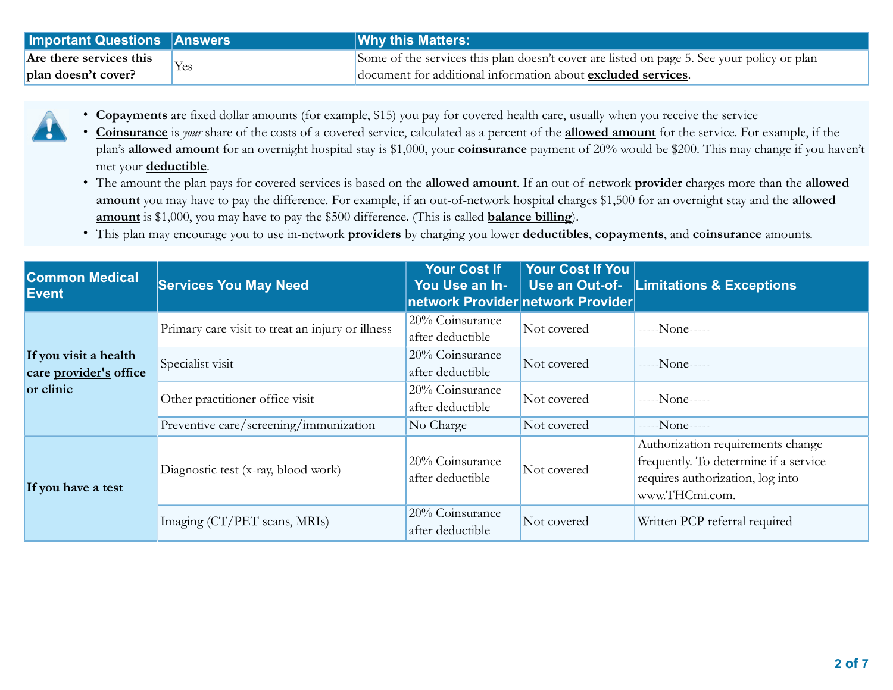| <b>Important Questions Answers</b> | <b>Why this Matters:</b>                                                                   |
|------------------------------------|--------------------------------------------------------------------------------------------|
| Are there services this            | Some of the services this plan doesn't cover are listed on page 5. See your policy or plan |
| plan doesn't cover?                | document for additional information about excluded services.                               |

- **Copayments** are fixed dollar amounts (for example, \$15) you pay for covered health care, usually when you receive the service
- **Coinsurance** is *your* share of the costs of a covered service, calculated as a percent of the **allowed amount** for the service. For example, if the plan's **allowed amount** for an overnight hospital stay is \$1,000, your **coinsurance** payment of 20% would be \$200. This may change if you haven't met your **deductible**.
	- The amount the plan pays for covered services is based on the **allowed amount**. If an out-of-network **provider** charges more than the **allowed amount** you may have to pay the difference. For example, if an out-of-network hospital charges \$1,500 for an overnight stay and the **allowed amount** is \$1,000, you may have to pay the \$500 difference. (This is called **balance billing**).
	- This plan may encourage you to use in-network **providers** by charging you lower **deductibles**, **copayments**, and **coinsurance** amounts.

| <b>Common Medical</b><br>Event                               | <b>Services You May Need</b>                     | <b>Your Cost If</b><br>You Use an In-<br>network Provider network Provider | <b>Your Cost If You</b> | Use an Out-of- Limitations & Exceptions                                                                                          |
|--------------------------------------------------------------|--------------------------------------------------|----------------------------------------------------------------------------|-------------------------|----------------------------------------------------------------------------------------------------------------------------------|
| If you visit a health<br>care provider's office<br>or clinic | Primary care visit to treat an injury or illness | 20% Coinsurance<br>after deductible                                        | Not covered             | $---None---$                                                                                                                     |
|                                                              | Specialist visit                                 | 20% Coinsurance<br>after deductible                                        | Not covered             | $---None---$                                                                                                                     |
|                                                              | Other practitioner office visit                  | 20% Coinsurance<br>after deductible                                        | Not covered             | $---None---$                                                                                                                     |
|                                                              | Preventive care/screening/immunization           | No Charge                                                                  | Not covered             | $---None---$                                                                                                                     |
| If you have a test                                           | Diagnostic test (x-ray, blood work)              | 20% Coinsurance<br>after deductible                                        | Not covered             | Authorization requirements change<br>frequently. To determine if a service<br>requires authorization, log into<br>www.THCmi.com. |
|                                                              | Imaging (CT/PET scans, MRIs)                     | 20% Coinsurance<br>after deductible                                        | Not covered             | Written PCP referral required                                                                                                    |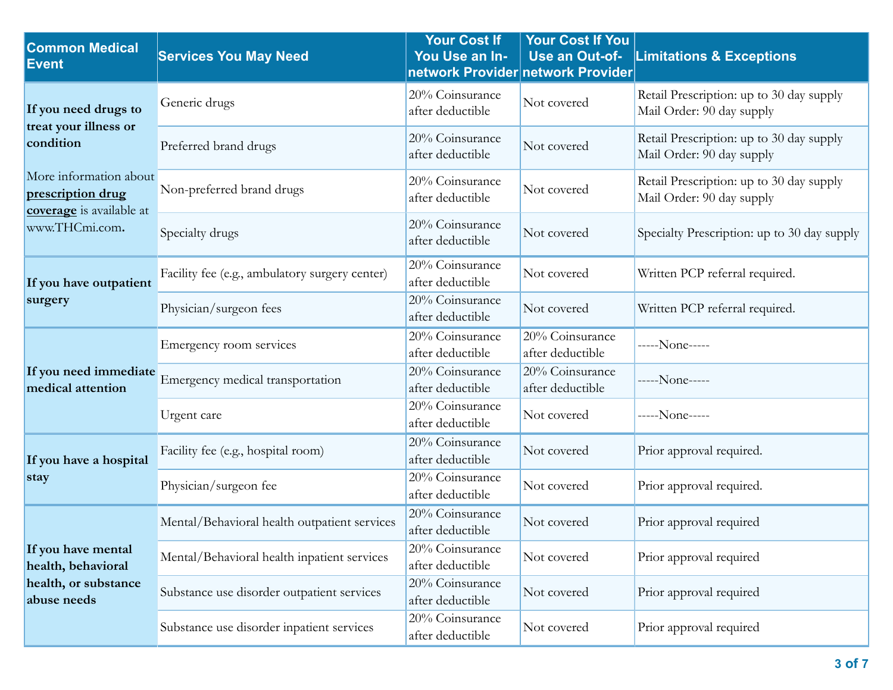| <b>Common Medical</b><br><b>Event</b>                                           | <b>Services You May Need</b>                   | <b>Your Cost If</b><br>You Use an In- | <b>Your Cost If You</b><br>Use an Out-of-<br>network Provider network Provider | <b>Limitations &amp; Exceptions</b>                                   |
|---------------------------------------------------------------------------------|------------------------------------------------|---------------------------------------|--------------------------------------------------------------------------------|-----------------------------------------------------------------------|
| If you need drugs to                                                            | Generic drugs                                  | 20% Coinsurance<br>after deductible   | Not covered                                                                    | Retail Prescription: up to 30 day supply<br>Mail Order: 90 day supply |
| treat your illness or<br>condition                                              | Preferred brand drugs                          | 20% Coinsurance<br>after deductible   | Not covered                                                                    | Retail Prescription: up to 30 day supply<br>Mail Order: 90 day supply |
| More information about<br>prescription drug<br>coverage is available at         | Non-preferred brand drugs                      | 20% Coinsurance<br>after deductible   | Not covered                                                                    | Retail Prescription: up to 30 day supply<br>Mail Order: 90 day supply |
| www.THCmi.com.                                                                  | Specialty drugs                                | 20% Coinsurance<br>after deductible   | Not covered                                                                    | Specialty Prescription: up to 30 day supply                           |
| If you have outpatient                                                          | Facility fee (e.g., ambulatory surgery center) | 20% Coinsurance<br>after deductible   | Not covered                                                                    | Written PCP referral required.                                        |
| surgery                                                                         | Physician/surgeon fees                         | 20% Coinsurance<br>after deductible   | Not covered                                                                    | Written PCP referral required.                                        |
| If you need immediate<br>medical attention                                      | Emergency room services                        | 20% Coinsurance<br>after deductible   | 20% Coinsurance<br>after deductible                                            | -----None-----                                                        |
|                                                                                 | Emergency medical transportation               | 20% Coinsurance<br>after deductible   | 20% Coinsurance<br>after deductible                                            | -----None-----                                                        |
|                                                                                 | Urgent care                                    | $20%$ Coinsurance<br>after deductible | Not covered                                                                    | -----None-----                                                        |
| If you have a hospital                                                          | Facility fee (e.g., hospital room)             | 20% Coinsurance<br>after deductible   | Not covered                                                                    | Prior approval required.                                              |
| stay                                                                            | Physician/surgeon fee                          | 20% Coinsurance<br>after deductible   | Not covered                                                                    | Prior approval required.                                              |
|                                                                                 | Mental/Behavioral health outpatient services   | 20% Coinsurance<br>after deductible   | Not covered                                                                    | Prior approval required                                               |
| If you have mental<br>health, behavioral<br>health, or substance<br>abuse needs | Mental/Behavioral health inpatient services    | 20% Coinsurance<br>after deductible   | Not covered                                                                    | Prior approval required                                               |
|                                                                                 | Substance use disorder outpatient services     | 20% Coinsurance<br>after deductible   | Not covered                                                                    | Prior approval required                                               |
|                                                                                 | Substance use disorder inpatient services      | 20% Coinsurance<br>after deductible   | Not covered                                                                    | Prior approval required                                               |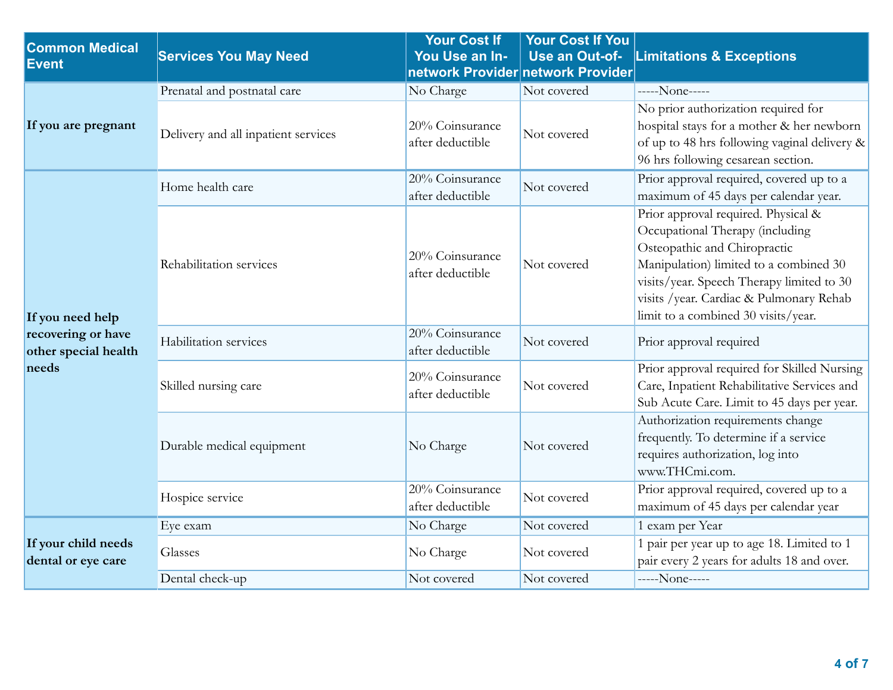| <b>Common Medical</b><br><b>Event</b>                                   | <b>Services You May Need</b>        | Your Cost If<br>You Use an In-      | <b>Your Cost If You</b><br>Use an Out-of-<br>network Provider network Provider | <b>Limitations &amp; Exceptions</b>                                                                                                                                                                                                                                             |
|-------------------------------------------------------------------------|-------------------------------------|-------------------------------------|--------------------------------------------------------------------------------|---------------------------------------------------------------------------------------------------------------------------------------------------------------------------------------------------------------------------------------------------------------------------------|
| If you are pregnant                                                     | Prenatal and postnatal care         | No Charge                           | Not covered                                                                    | -----None-----                                                                                                                                                                                                                                                                  |
|                                                                         | Delivery and all inpatient services | 20% Coinsurance<br>after deductible | Not covered                                                                    | No prior authorization required for<br>hospital stays for a mother & her newborn<br>of up to 48 hrs following vaginal delivery &<br>96 hrs following cesarean section.                                                                                                          |
| If you need help<br>recovering or have<br>other special health<br>needs | Home health care                    | 20% Coinsurance<br>after deductible | Not covered                                                                    | Prior approval required, covered up to a<br>maximum of 45 days per calendar year.                                                                                                                                                                                               |
|                                                                         | Rehabilitation services             | 20% Coinsurance<br>after deductible | Not covered                                                                    | Prior approval required. Physical &<br>Occupational Therapy (including<br>Osteopathic and Chiropractic<br>Manipulation) limited to a combined 30<br>visits/year. Speech Therapy limited to 30<br>visits /year. Cardiac & Pulmonary Rehab<br>limit to a combined 30 visits/year. |
|                                                                         | Habilitation services               | 20% Coinsurance<br>after deductible | Not covered                                                                    | Prior approval required                                                                                                                                                                                                                                                         |
|                                                                         | Skilled nursing care                | 20% Coinsurance<br>after deductible | Not covered                                                                    | Prior approval required for Skilled Nursing<br>Care, Inpatient Rehabilitative Services and<br>Sub Acute Care. Limit to 45 days per year.                                                                                                                                        |
|                                                                         | Durable medical equipment           | No Charge                           | Not covered                                                                    | Authorization requirements change<br>frequently. To determine if a service<br>requires authorization, log into<br>www.THCmi.com.                                                                                                                                                |
|                                                                         | Hospice service                     | 20% Coinsurance<br>after deductible | Not covered                                                                    | Prior approval required, covered up to a<br>maximum of 45 days per calendar year                                                                                                                                                                                                |
|                                                                         | Eye exam                            | No Charge                           | Not covered                                                                    | 1 exam per Year                                                                                                                                                                                                                                                                 |
| If your child needs<br>dental or eye care                               | Glasses                             | No Charge                           | Not covered                                                                    | 1 pair per year up to age 18. Limited to 1<br>pair every 2 years for adults 18 and over.                                                                                                                                                                                        |
|                                                                         | Dental check-up                     | Not covered                         | Not covered                                                                    | -----None-----                                                                                                                                                                                                                                                                  |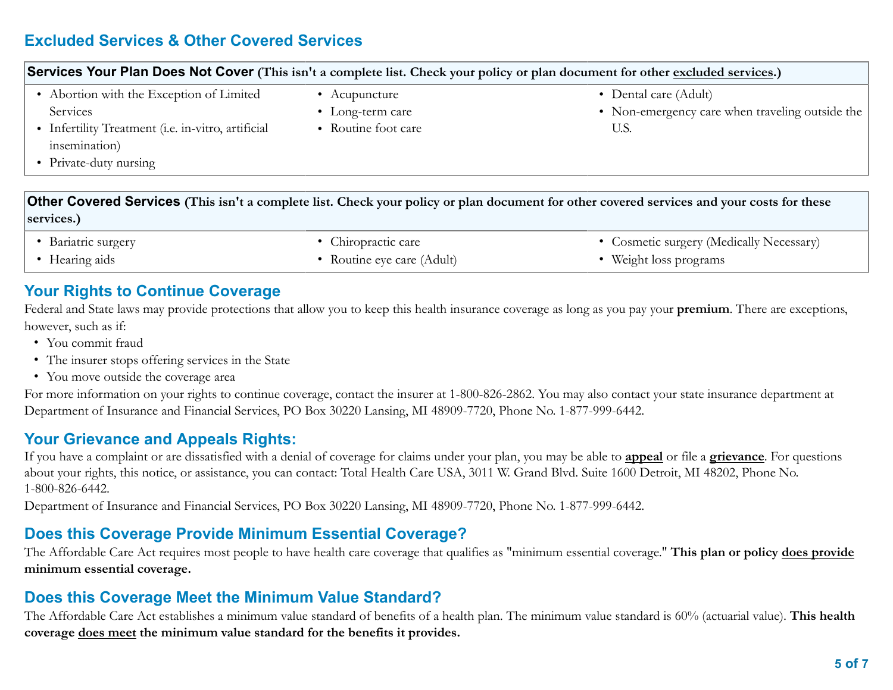# **Excluded Services & Other Covered Services**

| Services Your Plan Does Not Cover (This isn't a complete list. Check your policy or plan document for other excluded services.) |  |  |  |  |
|---------------------------------------------------------------------------------------------------------------------------------|--|--|--|--|
| • Dental care (Adult)<br>• Non-emergency care when traveling outside the<br>U.S.                                                |  |  |  |  |
|                                                                                                                                 |  |  |  |  |

**Other Covered Services (This isn't a complete list. Check your policy or plan document for other covered services and your costs for these services.)**

• Bariatric surgery • Hearing aids

<span id="page-4-0"></span>• Chiropractic care

• Routine eye care (Adult)

• Cosmetic surgery (Medically Necessary)

• Weight loss programs

### **Your Rights to Continue Coverage**

Federal and State laws may provide protections that allow you to keep this health insurance coverage as long as you pay your **premium**. There are exceptions, however, such as if:

- You commit fraud
- The insurer stops offering services in the State
- You move outside the coverage area

For more information on your rights to continue coverage, contact the insurer at 1-800-826-2862. You may also contact your state insurance department at Department of Insurance and Financial Services, PO Box 30220 Lansing, MI 48909-7720, Phone No. 1-877-999-6442.

# **Your Grievance and Appeals Rights:**

If you have a complaint or are dissatisfied with a denial of coverage for claims under your plan, you may be able to **appeal** or file a **grievance**. For questions about your rights, this notice, or assistance, you can contact: Total Health Care USA, 3011 W. Grand Blvd. Suite 1600 Detroit, MI 48202, Phone No. 1-800-826-6442.

Department of Insurance and Financial Services, PO Box 30220 Lansing, MI 48909-7720, Phone No. 1-877-999-6442.

# **Does this Coverage Provide Minimum Essential Coverage?**

The Affordable Care Act requires most people to have health care coverage that qualifies as "minimum essential coverage." **This plan or policy does provide minimum essential coverage.**

# **Does this Coverage Meet the Minimum Value Standard?**

The Affordable Care Act establishes a minimum value standard of benefits of a health plan. The minimum value standard is 60% (actuarial value). **This health coverage does meet the minimum value standard for the benefits it provides.**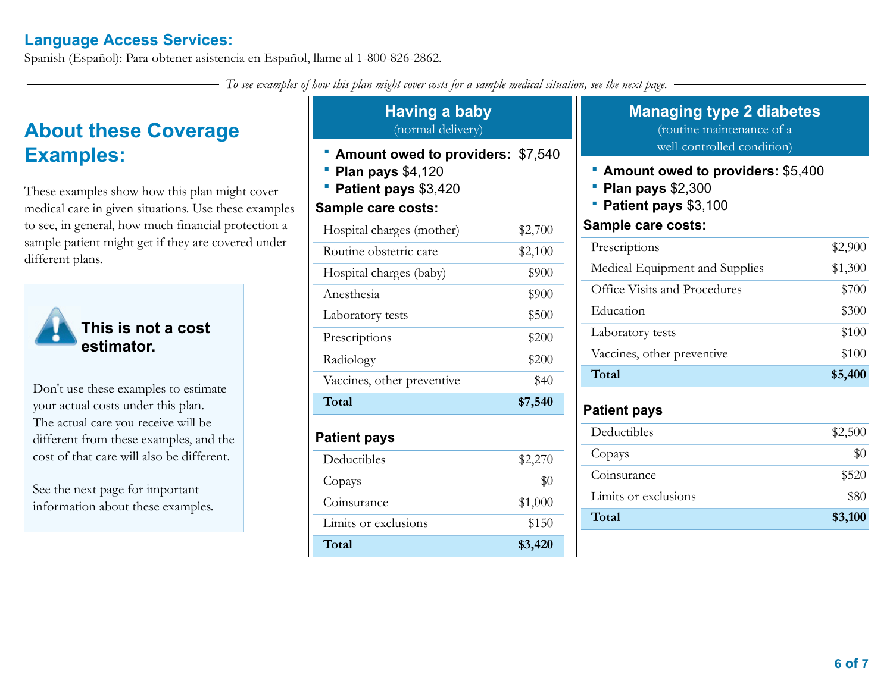# **Language Access Services:**

Spanish (Español): Para obtener asistencia en Español, llame al 1-800-826-2862.

*To see examples of how this plan might cover costs for a sample medical situation, see the next page.*

# **About these Coverage Examples:**

These examples show how this plan might cover medical care in given situations. Use these examples to see, in general, how much financial protection a sample patient might get if they are covered under different plans.



**This is not a cost estimator.**

Don't use these examples to estimate your actual costs under this plan. The actual care you receive will be different from these examples, and the cost of that care will also be different.

See the next page for important information about these examples.

### **Having a baby** (normal delivery)

- **Amount owed to providers:** \$7,540
- **Plan pays** \$4,120
- **Patient pays** \$3,420

### **Sample care costs:**

| <b>Patient pays</b>        |         |
|----------------------------|---------|
| Total                      | \$7,540 |
| Vaccines, other preventive | \$40    |
| Radiology                  | \$200   |
| Prescriptions              | \$200   |
| Laboratory tests           | \$500   |
| Anesthesia                 | \$900   |
| Hospital charges (baby)    | \$900   |
| Routine obstetric care     | \$2,100 |
| Hospital charges (mother)  | \$2,700 |
|                            |         |

| Deductibles          | \$2,270 |
|----------------------|---------|
| Copays               | \$0     |
| Coinsurance          | \$1,000 |
| Limits or exclusions | \$150   |
| Total                | \$3,420 |

# **Managing type 2 diabetes**

(routine maintenance of a well-controlled condition)

- **Amount owed to providers:** \$5,400
- **Plan pays** \$2,300
- **Patient pays** \$3,100

#### **Sample care costs:**

| Prescriptions                  | \$2,900 |
|--------------------------------|---------|
| Medical Equipment and Supplies | \$1,300 |
| Office Visits and Procedures   | \$700   |
| Education                      | \$300   |
| Laboratory tests               | \$100   |
| Vaccines, other preventive     | \$100   |
| Total                          | \$5,400 |

# **Patient pays**

| Deductibles          | \$2,500 |
|----------------------|---------|
| Copays               | \$0     |
| Coinsurance          | \$520   |
| Limits or exclusions | \$80    |
| Total                | \$3,100 |